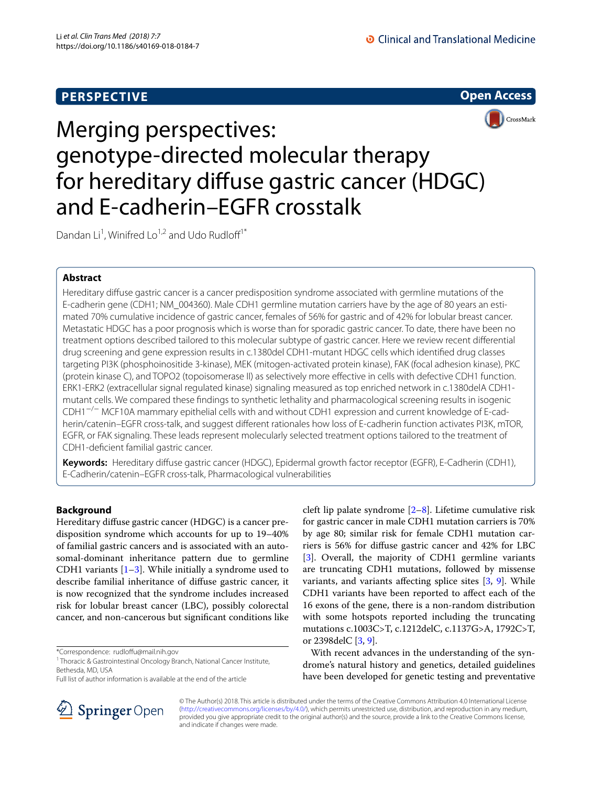



# Merging perspectives: genotype-directed molecular therapy for hereditary difuse gastric cancer (HDGC) and E-cadherin–EGFR crosstalk

Dandan Li<sup>1</sup>, Winifred Lo<sup>1,2</sup> and Udo Rudloff<sup>1\*</sup>

## **Abstract**

Hereditary difuse gastric cancer is a cancer predisposition syndrome associated with germline mutations of the E-cadherin gene (CDH1; NM\_004360). Male CDH1 germline mutation carriers have by the age of 80 years an estimated 70% cumulative incidence of gastric cancer, females of 56% for gastric and of 42% for lobular breast cancer. Metastatic HDGC has a poor prognosis which is worse than for sporadic gastric cancer. To date, there have been no treatment options described tailored to this molecular subtype of gastric cancer. Here we review recent diferential drug screening and gene expression results in c.1380del CDH1-mutant HDGC cells which identifed drug classes targeting PI3K (phosphoinositide 3-kinase), MEK (mitogen-activated protein kinase), FAK (focal adhesion kinase), PKC (protein kinase C), and TOPO2 (topoisomerase II) as selectively more efective in cells with defective CDH1 function. ERK1-ERK2 (extracellular signal regulated kinase) signaling measured as top enriched network in c.1380delA CDH1 mutant cells. We compared these fndings to synthetic lethality and pharmacological screening results in isogenic CDH1−/− MCF10A mammary epithelial cells with and without CDH1 expression and current knowledge of E-cadherin/catenin–EGFR cross-talk, and suggest diferent rationales how loss of E-cadherin function activates PI3K, mTOR, EGFR, or FAK signaling. These leads represent molecularly selected treatment options tailored to the treatment of CDH1-defcient familial gastric cancer.

**Keywords:** Hereditary difuse gastric cancer (HDGC), Epidermal growth factor receptor (EGFR), E-Cadherin (CDH1), E-Cadherin/catenin–EGFR cross-talk, Pharmacological vulnerabilities

## **Background**

Hereditary difuse gastric cancer (HDGC) is a cancer predisposition syndrome which accounts for up to 19–40% of familial gastric cancers and is associated with an autosomal-dominant inheritance pattern due to germline CDH[1](#page-4-0) variants  $[1-3]$ . While initially a syndrome used to describe familial inheritance of difuse gastric cancer, it is now recognized that the syndrome includes increased risk for lobular breast cancer (LBC), possibly colorectal cancer, and non-cancerous but signifcant conditions like

\*Correspondence: rudlofu@mail.nih.gov



With recent advances in the understanding of the syndrome's natural history and genetics, detailed guidelines have been developed for genetic testing and preventative



© The Author(s) 2018. This article is distributed under the terms of the Creative Commons Attribution 4.0 International License [\(http://creativecommons.org/licenses/by/4.0/\)](http://creativecommons.org/licenses/by/4.0/), which permits unrestricted use, distribution, and reproduction in any medium, provided you give appropriate credit to the original author(s) and the source, provide a link to the Creative Commons license, and indicate if changes were made.

<sup>&</sup>lt;sup>1</sup> Thoracic & Gastrointestinal Oncology Branch, National Cancer Institute, Bethesda, MD, USA

Full list of author information is available at the end of the article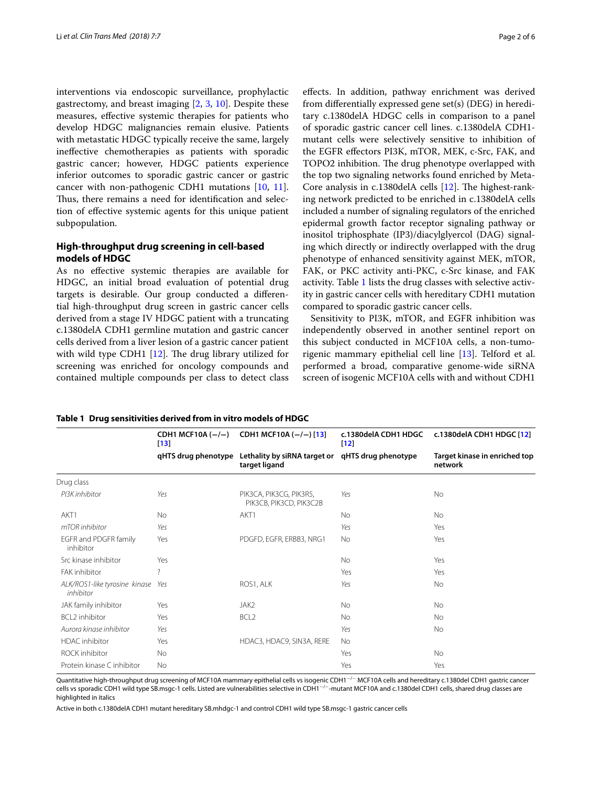interventions via endoscopic surveillance, prophylactic gastrectomy, and breast imaging [[2,](#page-4-2) [3,](#page-4-1) [10\]](#page-5-2). Despite these measures, efective systemic therapies for patients who develop HDGC malignancies remain elusive. Patients with metastatic HDGC typically receive the same, largely inefective chemotherapies as patients with sporadic gastric cancer; however, HDGC patients experience inferior outcomes to sporadic gastric cancer or gastric cancer with non-pathogenic CDH1 mutations [\[10,](#page-5-2) [11](#page-5-3)]. Thus, there remains a need for identification and selection of efective systemic agents for this unique patient subpopulation.

## **High‑throughput drug screening in cell‑based models of HDGC**

As no efective systemic therapies are available for HDGC, an initial broad evaluation of potential drug targets is desirable. Our group conducted a diferential high-throughput drug screen in gastric cancer cells derived from a stage IV HDGC patient with a truncating c.1380delA CDH1 germline mutation and gastric cancer cells derived from a liver lesion of a gastric cancer patient with wild type CDH1  $[12]$  $[12]$ . The drug library utilized for screening was enriched for oncology compounds and contained multiple compounds per class to detect class efects. In addition, pathway enrichment was derived from diferentially expressed gene set(s) (DEG) in hereditary c.1380delA HDGC cells in comparison to a panel of sporadic gastric cancer cell lines. c.1380delA CDH1 mutant cells were selectively sensitive to inhibition of the EGFR efectors PI3K, mTOR, MEK, c-Src, FAK, and TOPO2 inhibition. The drug phenotype overlapped with the top two signaling networks found enriched by Meta-Core analysis in  $c.1380$ delA cells  $[12]$  $[12]$ . The highest-ranking network predicted to be enriched in c.1380delA cells included a number of signaling regulators of the enriched epidermal growth factor receptor signaling pathway or inositol triphosphate (IP3)/diacylglyercol (DAG) signaling which directly or indirectly overlapped with the drug phenotype of enhanced sensitivity against MEK, mTOR, FAK, or PKC activity anti-PKC, c-Src kinase, and FAK activity. Table [1](#page-1-0) lists the drug classes with selective activity in gastric cancer cells with hereditary CDH1 mutation compared to sporadic gastric cancer cells.

Sensitivity to PI3K, mTOR, and EGFR inhibition was independently observed in another sentinel report on this subject conducted in MCF10A cells, a non-tumorigenic mammary epithelial cell line [[13\]](#page-5-5). Telford et al. performed a broad, comparative genome-wide siRNA screen of isogenic MCF10A cells with and without CDH1

#### <span id="page-1-0"></span>**Table 1 Drug sensitivities derived from in vitro models of HDGC**

|                                            | CDH1 MCF10A $(-/-)$<br>$[13]$ | CDH1 MCF10A (-/-) [13]                                            | c.1380delA CDH1 HDGC<br>$[12]$ | c.1380delA CDH1 HDGC [12]                |
|--------------------------------------------|-------------------------------|-------------------------------------------------------------------|--------------------------------|------------------------------------------|
|                                            | qHTS drug phenotype           | Lethality by siRNA target or qHTS drug phenotype<br>target ligand |                                | Target kinase in enriched top<br>network |
| Drug class                                 |                               |                                                                   |                                |                                          |
| PI3K inhibitor                             | Yes                           | PIK3CA, PIK3CG, PIK3R5,<br>PIK3CB, PIK3CD, PIK3C2B                | Yes                            | <b>No</b>                                |
| AKT1                                       | <b>No</b>                     | AKT1                                                              | No.                            | N <sub>o</sub>                           |
| mTOR inhibitor                             | Yes                           |                                                                   | Yes                            | Yes                                      |
| EGFR and PDGFR family<br>inhibitor         | Yes                           | PDGFD, EGFR, ERBB3, NRG1                                          | <b>No</b>                      | Yes                                      |
| Src kinase inhibitor                       | Yes                           |                                                                   | <b>No</b>                      | Yes                                      |
| FAK inhibitor                              | 7                             |                                                                   | Yes                            | Yes                                      |
| ALK/ROS1-like tyrosine kinase<br>inhibitor | Yes                           | ROS1, ALK                                                         | Yes                            | <b>No</b>                                |
| JAK family inhibitor                       | Yes                           | JAK2                                                              | <b>No</b>                      | No                                       |
| <b>BCL2</b> inhibitor                      | Yes                           | BCL <sub>2</sub>                                                  | <b>No</b>                      | <b>No</b>                                |
| Aurora kinase inhibitor                    | Yes                           |                                                                   | Yes                            | <b>No</b>                                |
| <b>HDAC</b> inhibitor                      | Yes                           | HDAC3, HDAC9, SIN3A, RERE                                         | <b>No</b>                      |                                          |
| <b>ROCK</b> inhibitor                      | <b>No</b>                     |                                                                   | Yes                            | <b>No</b>                                |
| Protein kinase C inhibitor                 | <b>No</b>                     |                                                                   | Yes                            | Yes                                      |
|                                            |                               |                                                                   |                                |                                          |

Quantitative high-throughput drug screening of MCF10A mammary epithelial cells vs isogenic CDH1<sup>-/-</sup> MCF10A cells and hereditary c.1380del CDH1 gastric cancer cells vs sporadic CDH1 wild type SB.msgc-1 cells. Listed are vulnerabilities selective in CDH1−/−-mutant MCF10A and c.1380del CDH1 cells, shared drug classes are highlighted in italics

Active in both c.1380delA CDH1 mutant hereditary SB.mhdgc-1 and control CDH1 wild type SB.msgc-1 gastric cancer cells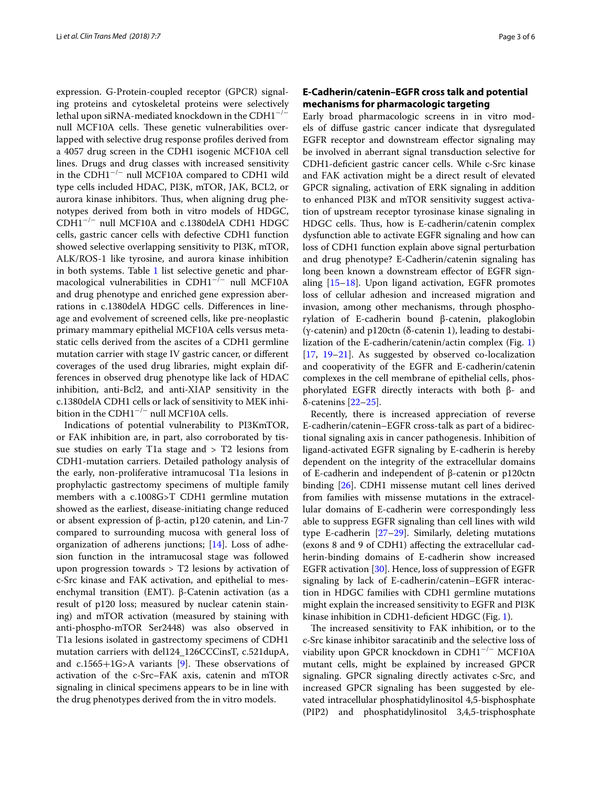expression. G-Protein-coupled receptor (GPCR) signaling proteins and cytoskeletal proteins were selectively lethal upon siRNA-mediated knockdown in the CDH1<sup>−</sup>/<sup>−</sup> null MCF10A cells. These genetic vulnerabilities overlapped with selective drug response profles derived from a 4057 drug screen in the CDH1 isogenic MCF10A cell lines. Drugs and drug classes with increased sensitivity in the CDH1<sup>−</sup>/<sup>−</sup> null MCF10A compared to CDH1 wild type cells included HDAC, PI3K, mTOR, JAK, BCL2, or aurora kinase inhibitors. Thus, when aligning drug phenotypes derived from both in vitro models of HDGC, CDH1<sup>−</sup>/<sup>−</sup> null MCF10A and c.1380delA CDH1 HDGC cells, gastric cancer cells with defective CDH1 function showed selective overlapping sensitivity to PI3K, mTOR, ALK/ROS-1 like tyrosine, and aurora kinase inhibition in both systems. Table [1](#page-1-0) list selective genetic and pharmacological vulnerabilities in CDH1−/− null MCF10A and drug phenotype and enriched gene expression aberrations in c.1380delA HDGC cells. Diferences in lineage and evolvement of screened cells, like pre-neoplastic primary mammary epithelial MCF10A cells versus metastatic cells derived from the ascites of a CDH1 germline mutation carrier with stage IV gastric cancer, or diferent coverages of the used drug libraries, might explain differences in observed drug phenotype like lack of HDAC inhibition, anti-Bcl2, and anti-XIAP sensitivity in the c.1380delA CDH1 cells or lack of sensitivity to MEK inhibition in the CDH1−/− null MCF10A cells.

Indications of potential vulnerability to PI3KmTOR, or FAK inhibition are, in part, also corroborated by tissue studies on early T1a stage and  $>$  T2 lesions from CDH1-mutation carriers. Detailed pathology analysis of the early, non-proliferative intramucosal T1a lesions in prophylactic gastrectomy specimens of multiple family members with a c.1008G>T CDH1 germline mutation showed as the earliest, disease-initiating change reduced or absent expression of β-actin, p120 catenin, and Lin-7 compared to surrounding mucosa with general loss of organization of adherens junctions; [\[14](#page-5-6)]. Loss of adhesion function in the intramucosal stage was followed upon progression towards > T2 lesions by activation of c-Src kinase and FAK activation, and epithelial to mesenchymal transition (EMT). β-Catenin activation (as a result of p120 loss; measured by nuclear catenin staining) and mTOR activation (measured by staining with anti-phospho-mTOR Ser2448) was also observed in T1a lesions isolated in gastrectomy specimens of CDH1 mutation carriers with del124\_126CCCinsT, c.521dupA, and c.1565+1G>A variants [\[9](#page-5-1)]. These observations of activation of the c-Src–FAK axis, catenin and mTOR signaling in clinical specimens appears to be in line with the drug phenotypes derived from the in vitro models.

## **E‑Cadherin/catenin–EGFR cross talk and potential mechanisms for pharmacologic targeting**

Early broad pharmacologic screens in in vitro models of difuse gastric cancer indicate that dysregulated EGFR receptor and downstream efector signaling may be involved in aberrant signal transduction selective for CDH1-defcient gastric cancer cells. While c-Src kinase and FAK activation might be a direct result of elevated GPCR signaling, activation of ERK signaling in addition to enhanced PI3K and mTOR sensitivity suggest activation of upstream receptor tyrosinase kinase signaling in HDGC cells. Thus, how is E-cadherin/catenin complex dysfunction able to activate EGFR signaling and how can loss of CDH1 function explain above signal perturbation and drug phenotype? E-Cadherin/catenin signaling has long been known a downstream efector of EGFR signaling [\[15–](#page-5-7)[18\]](#page-5-8). Upon ligand activation, EGFR promotes loss of cellular adhesion and increased migration and invasion, among other mechanisms, through phosphorylation of E-cadherin bound β-catenin, plakoglobin (γ-catenin) and p120ctn (δ-catenin 1), leading to destabilization of the E-cadherin/catenin/actin complex (Fig. [1](#page-3-0)) [[17,](#page-5-9) [19–](#page-5-10)[21](#page-5-11)]. As suggested by observed co-localization and cooperativity of the EGFR and E-cadherin/catenin complexes in the cell membrane of epithelial cells, phosphorylated EGFR directly interacts with both β- and δ-catenins [[22–](#page-5-12)[25](#page-5-13)].

Recently, there is increased appreciation of reverse E-cadherin/catenin–EGFR cross-talk as part of a bidirectional signaling axis in cancer pathogenesis. Inhibition of ligand-activated EGFR signaling by E-cadherin is hereby dependent on the integrity of the extracellular domains of E-cadherin and independent of β-catenin or p120ctn binding [\[26\]](#page-5-14). CDH1 missense mutant cell lines derived from families with missense mutations in the extracellular domains of E-cadherin were correspondingly less able to suppress EGFR signaling than cell lines with wild type E-cadherin [[27](#page-5-15)[–29](#page-5-16)]. Similarly, deleting mutations (exons 8 and 9 of CDH1) afecting the extracellular cadherin-binding domains of E-cadherin show increased EGFR activation [[30\]](#page-5-17). Hence, loss of suppression of EGFR signaling by lack of E-cadherin/catenin–EGFR interaction in HDGC families with CDH1 germline mutations might explain the increased sensitivity to EGFR and PI3K kinase inhibition in CDH1-deficient HDGC (Fig. [1\)](#page-3-0).

The increased sensitivity to FAK inhibition, or to the c-Src kinase inhibitor saracatinib and the selective loss of viability upon GPCR knockdown in CDH1<sup>−</sup>/<sup>−</sup> MCF10A mutant cells, might be explained by increased GPCR signaling. GPCR signaling directly activates c-Src, and increased GPCR signaling has been suggested by elevated intracellular phosphatidylinositol 4,5-bisphosphate (PIP2) and phosphatidylinositol 3,4,5-trisphosphate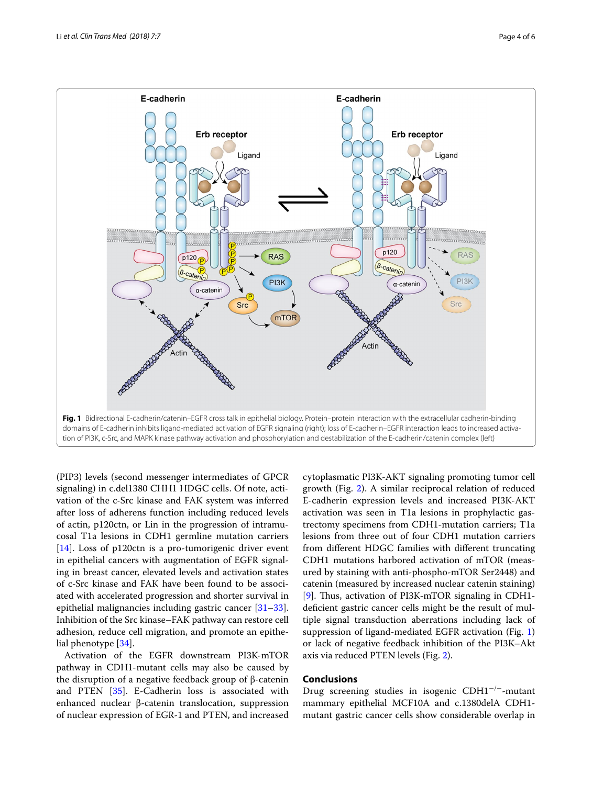

<span id="page-3-0"></span>

(PIP3) levels (second messenger intermediates of GPCR signaling) in c.del1380 CHH1 HDGC cells. Of note, activation of the c-Src kinase and FAK system was inferred after loss of adherens function including reduced levels of actin, p120ctn, or Lin in the progression of intramucosal T1a lesions in CDH1 germline mutation carriers [[14\]](#page-5-6). Loss of p120ctn is a pro-tumorigenic driver event in epithelial cancers with augmentation of EGFR signaling in breast cancer, elevated levels and activation states of c-Src kinase and FAK have been found to be associated with accelerated progression and shorter survival in epithelial malignancies including gastric cancer [[31](#page-5-18)[–33](#page-5-19)]. Inhibition of the Src kinase–FAK pathway can restore cell adhesion, reduce cell migration, and promote an epithelial phenotype [\[34](#page-5-20)].

Activation of the EGFR downstream PI3K-mTOR pathway in CDH1-mutant cells may also be caused by the disruption of a negative feedback group of β-catenin and PTEN [\[35](#page-5-21)]. E-Cadherin loss is associated with enhanced nuclear β-catenin translocation, suppression of nuclear expression of EGR-1 and PTEN, and increased

cytoplasmatic PI3K-AKT signaling promoting tumor cell growth (Fig. [2\)](#page-4-3). A similar reciprocal relation of reduced E-cadherin expression levels and increased PI3K-AKT activation was seen in T1a lesions in prophylactic gastrectomy specimens from CDH1-mutation carriers; T1a lesions from three out of four CDH1 mutation carriers from diferent HDGC families with diferent truncating CDH1 mutations harbored activation of mTOR (measured by staining with anti-phospho-mTOR Ser2448) and catenin (measured by increased nuclear catenin staining) [[9\]](#page-5-1). Thus, activation of PI3K-mTOR signaling in CDH1deficient gastric cancer cells might be the result of multiple signal transduction aberrations including lack of suppression of ligand-mediated EGFR activation (Fig. [1](#page-3-0)) or lack of negative feedback inhibition of the PI3K–Akt axis via reduced PTEN levels (Fig. [2](#page-4-3)).

## **Conclusions**

Drug screening studies in isogenic  $CDH1^{-/-}$ -mutant mammary epithelial MCF10A and c.1380delA CDH1 mutant gastric cancer cells show considerable overlap in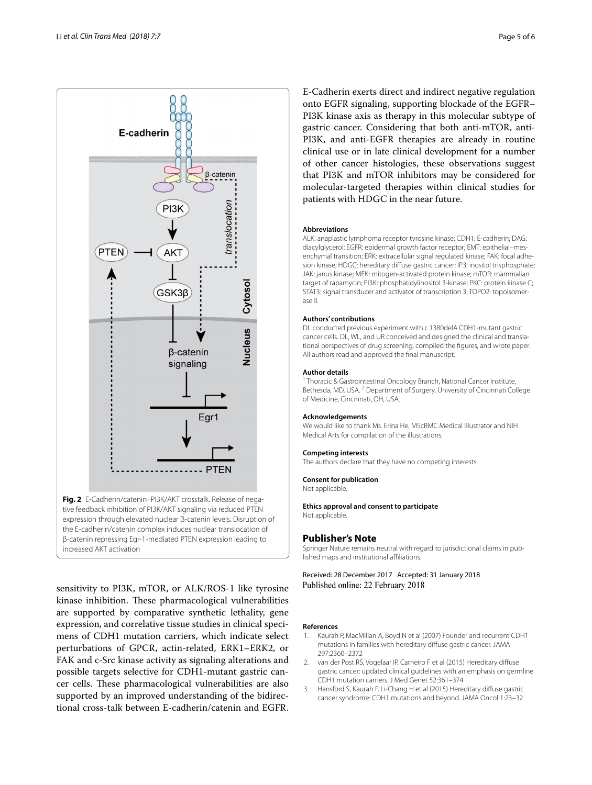

<span id="page-4-3"></span>sensitivity to PI3K, mTOR, or ALK/ROS-1 like tyrosine kinase inhibition. These pharmacological vulnerabilities are supported by comparative synthetic lethality, gene expression, and correlative tissue studies in clinical specimens of CDH1 mutation carriers, which indicate select perturbations of GPCR, actin-related, ERK1–ERK2, or FAK and c-Src kinase activity as signaling alterations and possible targets selective for CDH1-mutant gastric cancer cells. These pharmacological vulnerabilities are also supported by an improved understanding of the bidirectional cross-talk between E-cadherin/catenin and EGFR.

E-Cadherin exerts direct and indirect negative regulation onto EGFR signaling, supporting blockade of the EGFR– PI3K kinase axis as therapy in this molecular subtype of gastric cancer. Considering that both anti-mTOR, anti-PI3K, and anti-EGFR therapies are already in routine clinical use or in late clinical development for a number of other cancer histologies, these observations suggest that PI3K and mTOR inhibitors may be considered for molecular-targeted therapies within clinical studies for patients with HDGC in the near future.

#### **Abbreviations**

ALK: anaplastic lymphoma receptor tyrosine kinase; CDH1: E-cadherin; DAG: diacylglycerol; EGFR: epidermal growth factor receptor; EMT: epithelial–mesenchymal transition; ERK: extracellular signal regulated kinase; FAK: focal adhesion kinase; HDGC: hereditary difuse gastric cancer; IP3: inositol trisphosphate; JAK: janus kinase; MEK: mitogen-activated protein kinase; mTOR: mammalian target of rapamycin; PI3K: phosphatidylinositol 3-kinase; PKC: protein kinase C; STAT3: signal transducer and activator of transcription 3; TOPO2: topoisomerase II.

#### **Authors' contributions**

DL conducted previous experiment with c.1380delA CDH1-mutant gastric cancer cells. DL, WL, and UR conceived and designed the clinical and translational perspectives of drug screening, compiled the fgures, and wrote paper. All authors read and approved the fnal manuscript.

#### **Author details**

<sup>1</sup> Thoracic & Gastrointestinal Oncology Branch, National Cancer Institute, Bethesda, MD, USA. <sup>2</sup> Department of Surgery, University of Cincinnati College of Medicine, Cincinnati, OH, USA.

#### **Acknowledgements**

We would like to thank Ms. Erina He, MScBMC Medical Illustrator and NIH Medical Arts for compilation of the illustrations.

#### **Competing interests**

The authors declare that they have no competing interests.

#### **Consent for publication**

Not applicable.

### **Ethics approval and consent to participate**

Not applicable.

#### **Publisher's Note**

Springer Nature remains neutral with regard to jurisdictional claims in published maps and institutional afliations.

Received: 28 December 2017 Accepted: 31 January 2018 Published online: 22 February 2018

#### **References**

- <span id="page-4-0"></span>1. Kaurah P, MacMillan A, Boyd N et al (2007) Founder and recurrent CDH1 mutations in families with hereditary difuse gastric cancer. JAMA 297:2360–2372
- <span id="page-4-2"></span>2. van der Post RS, Vogelaar IP, Carneiro F et al (2015) Hereditary difuse gastric cancer: updated clinical guidelines with an emphasis on germline CDH1 mutation carriers. J Med Genet 52:361–374
- <span id="page-4-1"></span>3. Hansford S, Kaurah P, Li-Chang H et al (2015) Hereditary difuse gastric cancer syndrome: CDH1 mutations and beyond. JAMA Oncol 1:23–32